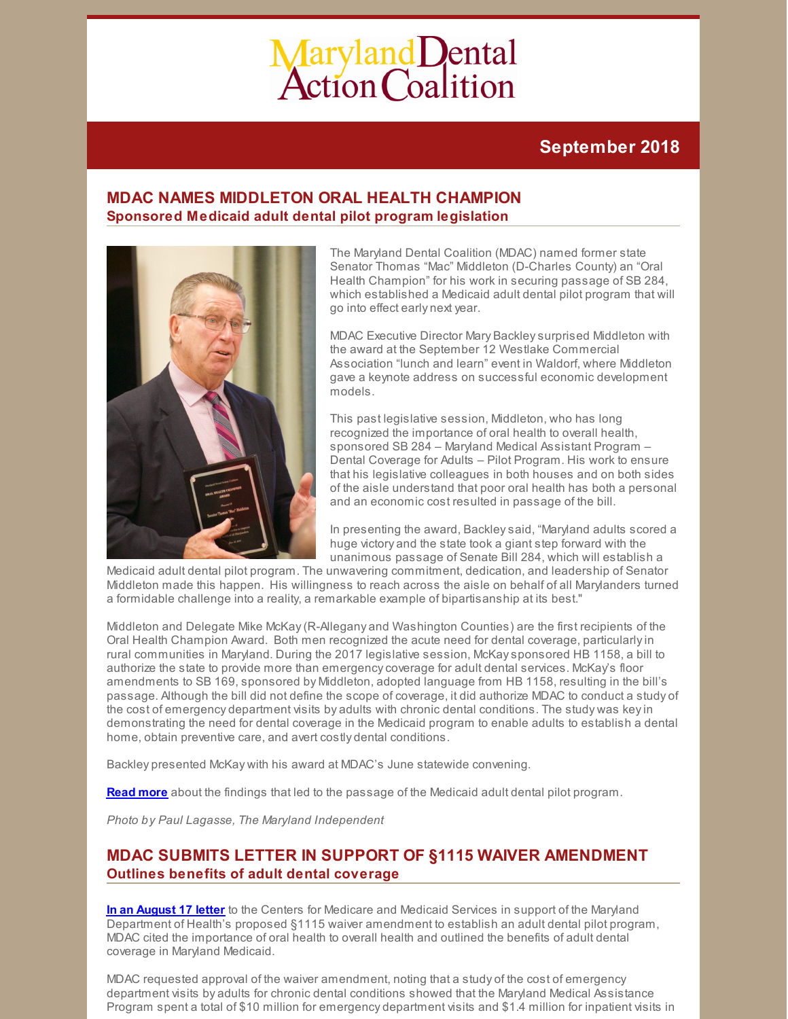# Maryland Dental<br>Action Coalition

# **September 2018**

# **MDAC NAMES MIDDLETON ORAL HEALTH CHAMPION Sponsored Medicaid adult dental pilot program legislation**



The Maryland Dental Coalition (MDAC) named former state Senator Thomas "Mac" Middleton (D-Charles County) an "Oral Health Champion" for his work in securing passage of SB 284, which established a Medicaid adult dental pilot program that will go into effect early next year.

MDAC Executive Director Mary Backleysurprised Middleton with the award at the September 12 Westlake Commercial Association "lunch and learn" event in Waldorf, where Middleton gave a keynote address on successful economic development models.

This past legislative session, Middleton, who has long recognized the importance of oral health to overall health, sponsored SB 284 – Maryland Medical Assistant Program – Dental Coverage for Adults – Pilot Program. His work to ensure that his legislative colleagues in both houses and on both sides of the aisle understand that poor oral health has both a personal and an economic cost resulted in passage of the bill.

In presenting the award, Backleysaid, "Maryland adults scored a huge victory and the state took a giant step forward with the unanimous passage of Senate Bill 284, which will establish a

Medicaid adult dental pilot program. The unwavering commitment, dedication, and leadership of Senator Middleton made this happen. His willingness to reach across the aisle on behalf of all Marylanders turned a formidable challenge into a reality, a remarkable example of bipartisanship at its best."

Middleton and Delegate Mike McKay(R-Allegany and Washington Counties) are the first recipients of the Oral Health Champion Award. Both men recognized the acute need for dental coverage, particularlyin rural communities in Maryland. During the 2017 legislative session, McKaysponsored HB 1158, a bill to authorize the state to provide more than emergencycoverage for adult dental services. McKay's floor amendments to SB 169, sponsored by Middleton, adopted language from HB 1158, resulting in the bill's passage. Although the bill did not define the scope of coverage, it did authorize MDAC to conduct a study of the cost of emergency department visits by adults with chronic dental conditions. The study was keyin demonstrating the need for dental coverage in the Medicaid program to enable adults to establish a dental home, obtain preventive care, and avert costly dental conditions.

Backley presented McKay with his award at MDAC's June statewide convening.

**[Read](https://whatsnew.dentaquest.com/what-makes-you-more-likely-to-end-up-in-the-emergency-room-for-dental-problems/) more** about the findings that led to the passage of the Medicaid adult dental pilot program.

*Photo by Paul Lagasse, The Maryland Independent*

# **MDAC SUBMITS LETTER IN SUPPORT OF §1115 WAIVER AMENDMENT Outlines benefits of adult dental coverage**

**In an [August](http://files.constantcontact.com/f29af31a201/8d45d90a-0bef-4456-ac5d-b0de1fbe13b0.pdf) 17 letter** to the Centers for Medicare and Medicaid Services in support of the Maryland Department of Health's proposed §1115 waiver amendment to establish an adult dental pilot program, MDAC cited the importance of oral health to overall health and outlined the benefits of adult dental coverage in Maryland Medicaid.

MDAC requested approval of the waiver amendment, noting that a study of the cost of emergency department visits by adults for chronic dental conditions showed that the Maryland Medical Assistance Program spent a total of \$10 million for emergency department visits and \$1.4 million for inpatient visits in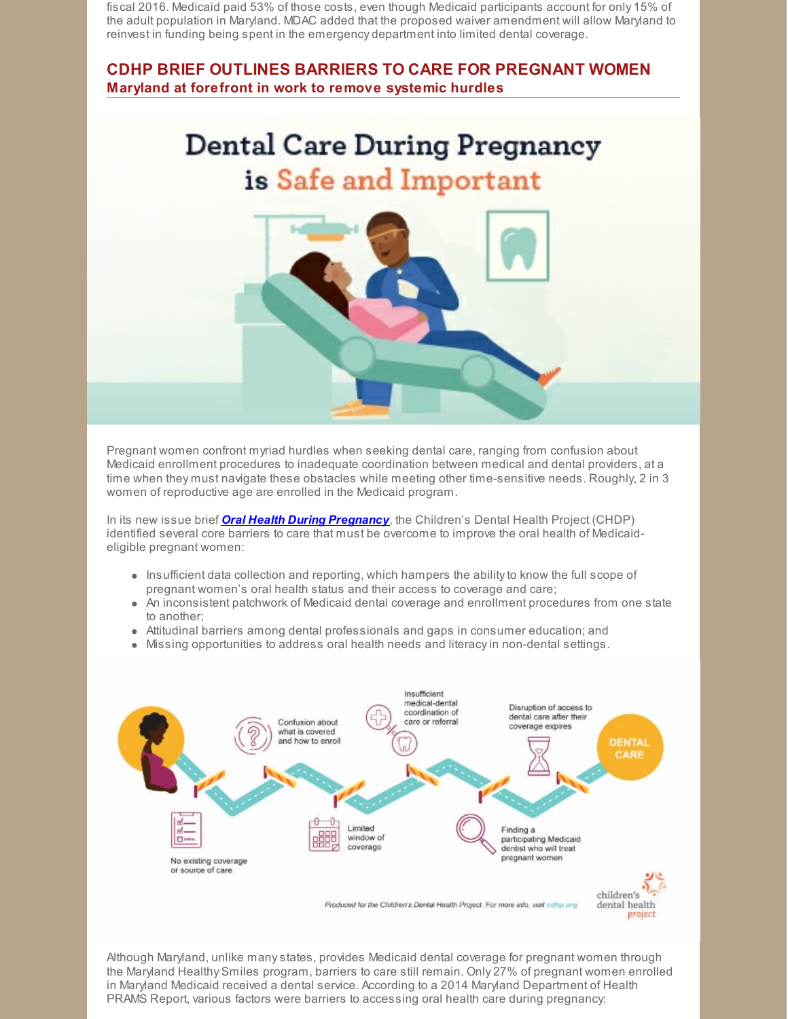fiscal 2016. Medicaid paid 53% of those costs, even though Medicaid participants account for only 15% of the adult population in Maryland. MDAC added that the proposed waiver amendment will allow Maryland to reinvest in funding being spent in the emergency department into limited dental coverage.

## **CDHP BRIEF OUTLINES BARRIERS TO CARE FOR PREGNANT WOMEN Maryland at forefront in work to remove systemic hurdles**

# **Dental Care During Pregnancy** is Safe and Important



Pregnant women confront myriad hurdles when seeking dental care, ranging from confusion about Medicaid enrollment procedures to inadequate coordination between medical and dental providers, at a time when they must navigate these obstacles while meeting other time-sensitive needs. Roughly, 2 in 3 women of reproductive age are enrolled in the Medicaid program.

In its new issue brief *Oral Health During [Pregnancy](http://bit.ly/OHinPregnancy)*, the Children's Dental Health Project (CHDP) identified several core barriers to care that must be overcome to improve the oral health of Medicaideligible pregnant women:

- $\bullet$  Insufficient data collection and reporting, which hampers the ability to know the full scope of pregnant women's oral health status and their access to coverage and care;
- An inconsistent patchwork of Medicaid dental coverage and enrollment procedures from one state to another;
- Attitudinal barriers among dental professionals and gaps in consumer education; and
- Missing opportunities to address oral health needs and literacyin non-dental settings.



Although Maryland, unlike manystates, provides Medicaid dental coverage for pregnant women through the Maryland Healthy Smiles program, barriers to care still remain. Only 27% of pregnant women enrolled in Maryland Medicaid received a dental service. According to a 2014 Maryland Department of Health PRAMS Report, various factors were barriers to accessing oral health care during pregnancy: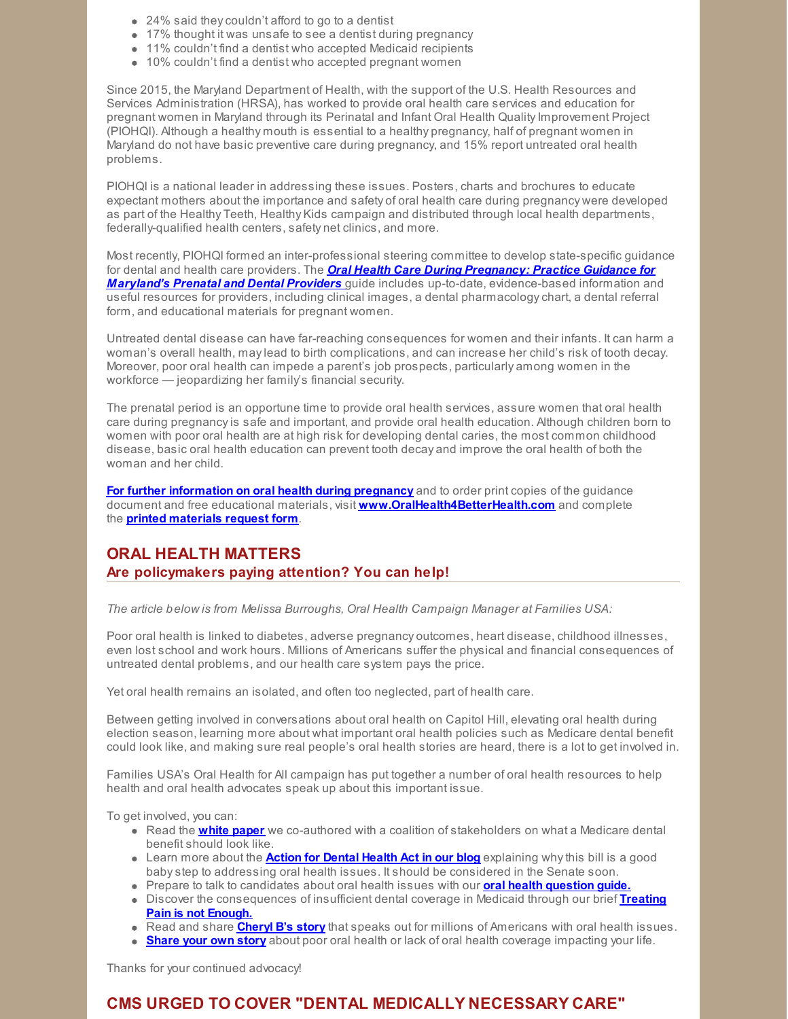- 24% said theycouldn't afford to go to a dentist
- 17% thought it was unsafe to see a dentist during pregnancy
- 11% couldn't find a dentist who accepted Medicaid recipients
- 10% couldn't find a dentist who accepted pregnant women

Since 2015, the Maryland Department of Health, with the support of the U.S. Health Resources and Services Administration (HRSA), has worked to provide oral health care services and education for pregnant women in Maryland through its Perinatal and Infant Oral Health Quality Improvement Project (PIOHQI). Although a healthy mouth is essential to a healthy pregnancy, half of pregnant women in Maryland do not have basic preventive care during pregnancy, and 15% report untreated oral health problems.

PIOHQI is a national leader in addressing these issues. Posters, charts and brochures to educate expectant mothers about the importance and safety of oral health care during pregnancy were developed as part of the Healthy Teeth, Healthy Kids campaign and distributed through local health departments, federally-qualified health centers, safety net clinics, and more.

Most recently, PIOHQI formed an inter-professional steering committee to develop state-specific guidance for dental and health care providers. The *Oral Health Care During Pregnancy: Practice Guidance for Maryland's Prenatal and Dental Provider[s](http://bit.ly/OHinPregnancy)* guide includes up-to-date, [evidence-based](https://phpa.health.maryland.gov/oralhealth/Documents/PregnancyGuidanceDocument.pdf) information and useful resources for providers, including clinical images, a dental pharmacologychart, a dental referral form, and educational materials for pregnant women.

Untreated dental disease can have far-reaching consequences for women and their infants. It can harm a woman's overall health, maylead to birth complications, and can increase her child's risk of tooth decay. Moreover, poor oral health can impede a parent's job prospects, particularly among women in the workforce — jeopardizing her family's financial security.

The prenatal period is an opportune time to provide oral health services, assure women that oral health care during pregnancyis safe and important, and provide oral health education. Although children born to women with poor oral health are at high risk for developing dental caries, the most common childhood disease, basic oral health education can prevent tooth decay and improve the oral health of both the woman and her child.

**For further [information](https://phpa.health.maryland.gov/oralhealth/Pages/Oral_Health_and_Pregnancy.aspx) on oral health during pregnancy** and to order print copies of the guidance document and free educational materials, visit **[www.OralHealth4BetterHealth.com](http://www.oralhealth4betterhealth.com/)** and complete the **printed [materials](https://phpa.health.maryland.gov/oralhealth/Documents/RequestForm.pdf) request form**.

## **ORAL HEALTH MATTERS Are policymakers paying attention? You can help!**

*The article below is from Melissa Burroughs, Oral Health Campaign Manager at Families USA:*

Poor oral health is linked to diabetes, adverse pregnancy outcomes, heart disease, childhood illnesses, even lost school and work hours. Millions of Americans suffer the physical and financial consequences of untreated dental problems, and our health care system pays the price.

Yet oral health remains an isolated, and often too neglected, part of health care.

Between getting involved in conversations about oral health on Capitol Hill, elevating oral health during election season, learning more about what important oral health policies such as Medicare dental benefit could look like, and making sure real people's oral health stories are heard, there is a lot to get involved in.

Families USA's Oral Health for All campaign has put together a number of oral health resources to help health and oral health advocates speak up about this important issue.

To get involved, you can:

- Read the **[white](https://familiesusa.org/blog/2018/08/medicare-part-b-offers-way-forward-dental-coverage) paper** we co-authored with a coalition of stakeholders on what a Medicare dental benefit should look like.
- Learn more about the **Action for [Dental](https://familiesusa.org/blog/2018/08/action-dental-health-act-brings-much-needed-attention-oral-health-issues) Health Act in our blog** explaining whythis bill is a good babystep to addressing oral health issues. It should be considered in the Senate soon.
- Prepare to talk to candidates about oral health issues with our **oral health [question](https://familiesusa.org/product/oral-health-questions-ask-your-candidate) guide.**
- Discover the [consequences](https://familiesusa.org/product/treating-pain-not-enough-why-states-emergency-only-dental-benefits-fall-short) of insufficient dental coverage in Medicaid through our brief **Treating Pain is not Enough.**
- Read and share **[Cheryl](https://familiesusa.org/blog/2018/08/why-medicare-should-cover-oral-health-cheryls-story) B's story** that speaks out for millions of Americans with oral health issues.
- **[Share](https://familiesusa.org/share-your-story) your own story** about poor oral health or lack of oral health coverage impacting your life.

Thanks for your continued advocacy!

# **CMS URGED TO COVER "DENTAL MEDICALLY NECESSARY CARE"**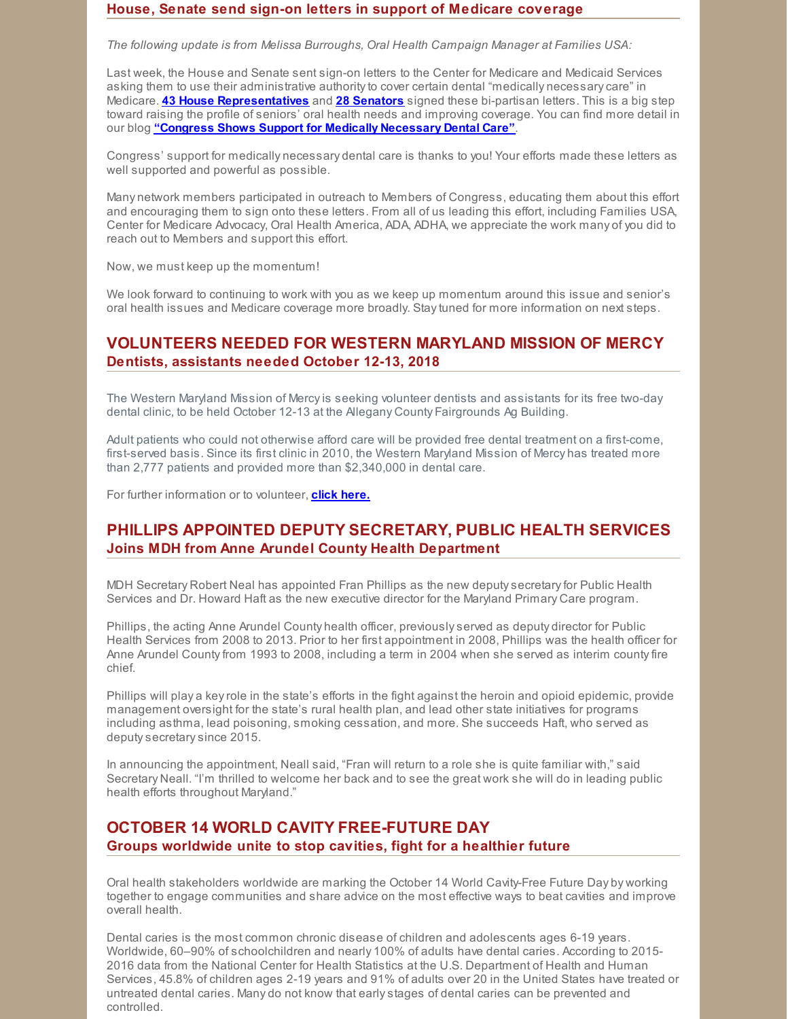#### **House, Senate send sign-on letters in support of Medicare coverage**

*The following update is from Melissa Burroughs, Oral Health Campaign Manager at Families USA:*

Last week, the House and Senate sent sign-on letters to the Center for Medicare and Medicaid Services asking them to use their administrative authority to cover certain dental "medically necessary care" in Medicare. **43 House [Representatives](https://familiesusa.org/sites/default/files/Letter on Medicare Coverage of Oral Health - September 17 2018.pdf)** and **28 [Senators](https://familiesusa.org/sites/default/files/Senate 9 20 18 Final Signed Dental CMS Letter.pdf)** signed these bi-partisan letters. This is a big step toward raising the profile of seniors' oral health needs and improving coverage. You can find more detail in our blog **"Congress Shows Support for Medically [Necessary](https://familiesusa.org/blog/2018/09/congress-shows-support-medically-necessary-dental-care) Dental Care"**.

Congress' support for medically necessary dental care is thanks to you! Your efforts made these letters as well supported and powerful as possible.

Many network members participated in outreach to Members of Congress, educating them about this effort and encouraging them to sign onto these letters. From all of us leading this effort, including Families USA, Center for Medicare Advocacy, Oral Health America, ADA, ADHA, we appreciate the work many of you did to reach out to Members and support this effort.

Now, we must keep up the momentum!

We look forward to continuing to work with you as we keep up momentum around this issue and senior's oral health issues and Medicare coverage more broadly. Staytuned for more information on next steps.

# **VOLUNTEERS NEEDED FOR WESTERN MARYLAND MISSION OF MERCY Dentists, assistants needed October 12-13, 2018**

The Western Maryland Mission of Mercyis seeking volunteer dentists and assistants for its free two-day dental clinic, to be held October 12-13 at the Allegany County Fairgrounds Ag Building.

Adult patients who could not otherwise afford care will be provided free dental treatment on a first-come, first-served basis. Since its first clinic in 2010, the Western Maryland Mission of Mercy has treated more than 2,777 patients and provided more than \$2,340,000 in dental care.

For further information or to volunteer, **click [here.](http://www.westernmdmom.com)**

# **PHILLIPS APPOINTED DEPUTY SECRETARY, PUBLIC HEALTH SERVICES Joins MDH from Anne Arundel County Health Department**

MDH Secretary Robert Neal has appointed Fran Phillips as the new deputysecretaryfor Public Health Services and Dr. Howard Haft as the new executive director for the Maryland Primary Care program.

Phillips, the acting Anne Arundel County health officer, previouslyserved as deputy director for Public Health Services from 2008 to 2013. Prior to her first appointment in 2008, Phillips was the health officer for Anne Arundel Countyfrom 1993 to 2008, including a term in 2004 when she served as interim countyfire chief.

Phillips will play a keyrole in the state's efforts in the fight against the heroin and opioid epidemic, provide management oversight for the state's rural health plan, and lead other state initiatives for programs including asthma, lead poisoning, smoking cessation, and more. She succeeds Haft, who served as deputysecretarysince 2015.

In announcing the appointment, Neall said, "Fran will return to a role she is quite familiar with," said Secretary Neall. "I'm thrilled to welcome her back and to see the great work she will do in leading public health efforts throughout Maryland."

# **OCTOBER 14 WORLD CAVITY FREE-FUTURE DAY Groups worldwide unite to stop cavities, fight for a healthier future**

Oral health stakeholders worldwide are marking the October 14 World Cavity-Free Future Day by working together to engage communities and share advice on the most effective ways to beat cavities and improve overall health.

Dental caries is the most common chronic disease of children and adolescents ages 6-19 years. Worldwide, 60–90% of schoolchildren and nearly 100% of adults have dental caries. According to 2015- 2016 data from the National Center for Health Statistics at the U.S. Department of Health and Human Services, 45.8% of children ages 2-19 years and 91% of adults over 20 in the United States have treated or untreated dental caries. Many do not know that earlystages of dental caries can be prevented and controlled.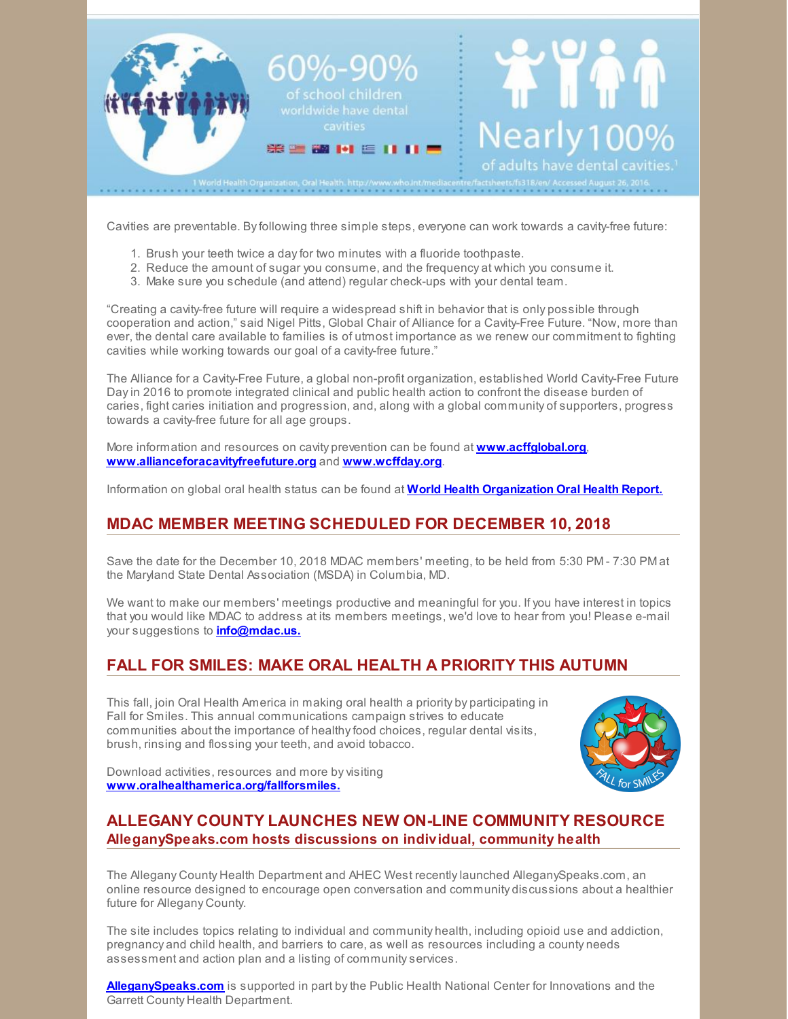

Cavities are preventable. Byfollowing three simple steps, everyone can work towards a cavity-free future:

- 1. Brush your teeth twice a dayfor two minutes with a fluoride toothpaste.
- 2. Reduce the amount of sugar you consume, and the frequency at which you consume it.
- 3. Make sure you schedule (and attend) regular check-ups with your dental team.

"Creating a cavity-free future will require a widespread shift in behavior that is only possible through cooperation and action," said Nigel Pitts, Global Chair of Alliance for a Cavity-Free Future. "Now, more than ever, the dental care available to families is of utmost importance as we renew our commitment to fighting cavities while working towards our goal of a cavity-free future."

The Alliance for a Cavity-Free Future, a global non-profit organization, established World Cavity-Free Future Dayin 2016 to promote integrated clinical and public health action to confront the disease burden of caries, fight caries initiation and progression, and, along with a global community of supporters, progress towards a cavity-free future for all age groups.

More information and resources on cavity prevention can be found at **[www.acffglobal.org](http://www.acffglobal.org/)**, **[www.allianceforacavityfreefuture.org](http://www.allianceforacavityfreefuture.org/)** and **[www.wcffday.org](http://www.wcffday.org/)**.

Information on global oral health status can be found at **World Health [Organization](http://www.who.int/oral_health/en/) Oral Health Report.**

# **MDAC MEMBER MEETING SCHEDULED FOR DECEMBER 10, 2018**

Save the date for the December 10, 2018 MDAC members' meeting, to be held from 5:30 PM - 7:30 PM at the Maryland State Dental Association (MSDA) in Columbia, MD.

We want to make our members' meetings productive and meaningful for you. If you have interest in topics that you would like MDAC to address at its members meetings, we'd love to hear from you! Please e-mail your suggestions to **[info@mdac.us.](mailto:info@mdac.us)**

# **FALL FOR SMILES: MAKE ORAL HEALTH A PRIORITY THIS AUTUMN**

This fall, join Oral Health America in making oral health a priority by participating in Fall for Smiles. This annual communications campaign strives to educate communities about the importance of healthy food choices, regular dental visits, brush, rinsing and flossing your teeth, and avoid tobacco.



Download activities, resources and more by visiting **[www.oralhealthamerica.org/fallforsmiles.](http://www.oralhealthamerica.org/fallforsmiles)**

# **ALLEGANY COUNTY LAUNCHES NEW ON-LINE COMMUNITY RESOURCE AlleganySpeaks.com hosts discussions on individual, community health**

The Allegany County Health Department and AHEC West recentlylaunched AlleganySpeaks.com, an online resource designed to encourage open conversation and community discussions about a healthier future for Allegany County.

The site includes topics relating to individual and community health, including opioid use and addiction, pregnancy and child health, and barriers to care, as well as resources including a county needs assessment and action plan and a listing of communityservices.

**[AlleganySpeaks.com](http://www.alleganyspeaks.com)** is supported in part bythe Public Health National Center for Innovations and the Garrett County Health Department.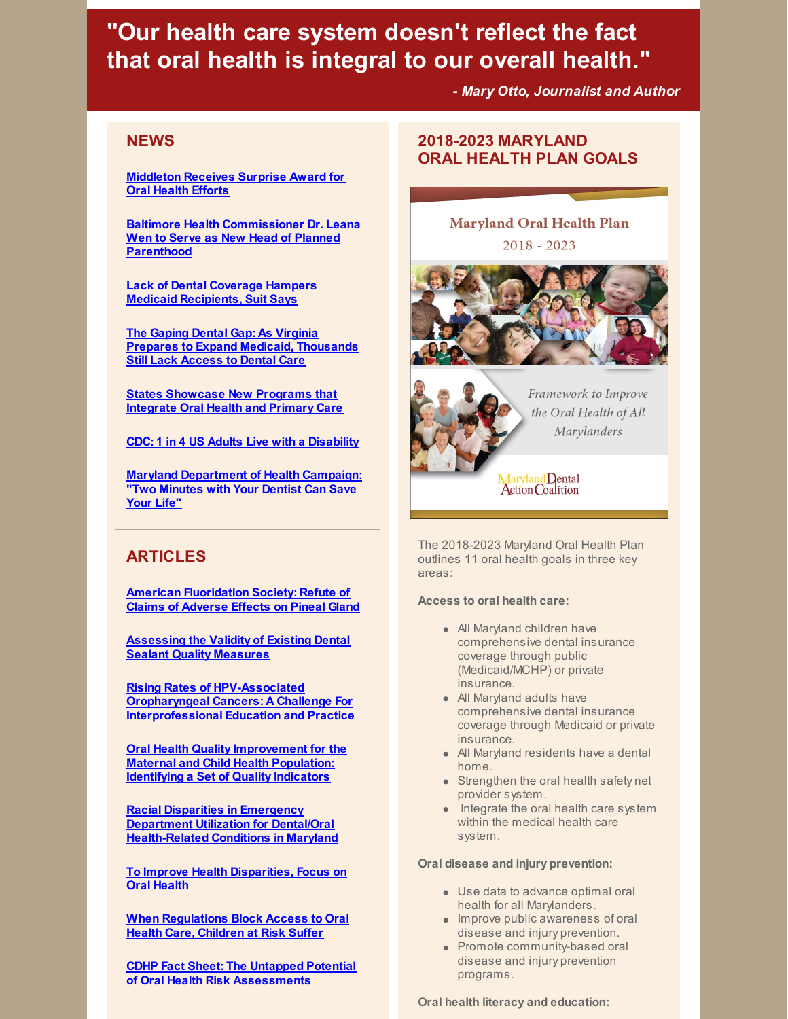# **"Our health care system doesn't reflect the fact that oral health is integral to our overall health."**

**-** *Mary Otto, Journalist and Author*

# **NEWS**

**[Middleton](http://www.somdnews.com/independent/spotlight/middleton-receives-surprise-award-for-oral-health-efforts/article_b2d5e6a8-9d73-58e3-83b6-b428fda6dfeb.html) Receives Surprise Award for Oral Health Efforts**

**Baltimore Health [Commissioner](http://www.baltimoresun.com/health/bs-hs-leana-wen-new-job-20180912-story.html#) Dr. Leana Wen to Serve as New Head of Planned Parenthood**

**Lack of Dental Coverage Hampers Medicaid [Recipients,](https://www.nytimes.com/2018/08/02/nyregion/nyc-medicaid-low-income-ban.html) Suit Says**

**The Gaping Dental Gap: As Virginia Prepares to Expand Medicaid, [Thousands](https://www.virginiamercury.com/2018/09/04/the-gaping-dental-gap-as-virginia-prepares-to-expand-medicaid-thousands-still-lack-access-to-dental-care/?platform=hootsuite) Still Lack Access to Dental Care**

**States [Showcase](https://nashp.org/states-showcase-new-programs-that-integrate-oral-health-and-primary-care/) New Programs that Integrate Oral Health and Primary Care**

**CDC: 1 in 4 US Adults Live with a [Disability](https://www.cdc.gov/media/releases/2018/p0816-disability.html)**

**Maryland [Department](https://www.ada.org/en/publications/ada-news/2018-archive/september/maryland-department-of-health-campaign-two-minutes-with-your-dentist-can-save-your-life) of Health Campaign: "Two Minutes with Your Dentist Can Save Your Life"**

# **ARTICLES**

**American [Fluoridation](https://americanfluoridationsociety.org/refute-of-claims-of-adverse-effects-on-pineal-gland/) Society: Refute of Claims of Adverse Effects on Pineal Gland**

**[Assessing](https://jada.ada.org/article/S0002-8177(18)30312-X/fulltext) the Validity of Existing Dental Sealant Quality Measures**

**Rising Rates of HPV-Associated Oropharyngeal Cancers: A Challenge For [Interprofessional](https://all4oralhealth.wordpress.com/2018/09/18/rising-rates-of-hpv-associated-oropharyngeal-cancers-a-challenge-for-interprofessional-education-and-practice/?utm_source=newsletter&utm_medium=email&utm_content=Click here to view article&utm_campaign=9.18.18-blog-post) Education and Practice**

**Oral Health Quality [Improvement](https://www.mchoralhealth.org/PDFs/COHSII_QualityIndicatorsReport.pdf) for the Maternal and Child Health Population: Identifying a Set of Quality Indicators**

**Racial Disparities in Emergency Department Utilization for Dental/Oral [Health-Related](https://www.frontiersin.org/articles/10.3389/fpubh.2017.00164/full) Conditions in Maryland**

**To Improve Health [Disparities,](https://www.rwjf.org/en/blog/2018/08/to-improve-health-disparities-focus-on-oral-health.html?cid=xtw_rwjf_unpd_dte:20180809) Focus on Oral Health**

**When [Regulations](http://www.pewtrusts.org/en/research-and-analysis/issue-briefs/2018/08/when-regulations-block-access-to-oral-health-care-children-at-risk-suffer#0-overview) Block Access to Oral Health Care, Children at Risk Suffer**

**CDHP Fact Sheet: The Untapped Potential of Oral Health Risk [Assessments](https://s3.amazonaws.com/cdhp/End+Cavities/Fact+Sheet+on+Risk+Assessments.pdf)**

# **2018-2023 MARYLAND ORAL HEALTH PLAN GOALS**

#### **Maryland Oral Health Plan**

 $2018 - 2023$ 





Framework to Improve the Oral Health of All Marylanders

Maryland Dental<br>Action Coalition

The 2018-2023 Maryland Oral Health Plan outlines 11 oral health goals in three key areas:

#### **Access to oral health care:**

- All Maryland children have comprehensive dental insurance coverage through public (Medicaid/MCHP) or private insurance.
- All Maryland adults have comprehensive dental insurance coverage through Medicaid or private insurance.
- All Maryland residents have a dental home.
- Strengthen the oral health safety net provider system.
- Integrate the oral health care system within the medical health care system.

#### **Oral disease and injury prevention:**

- Use data to advance optimal oral health for all Marylanders.
- **Improve public awareness of oral** disease and injury prevention.
- Promote community-based oral disease and injury prevention programs.

**Oral health literacy and education:**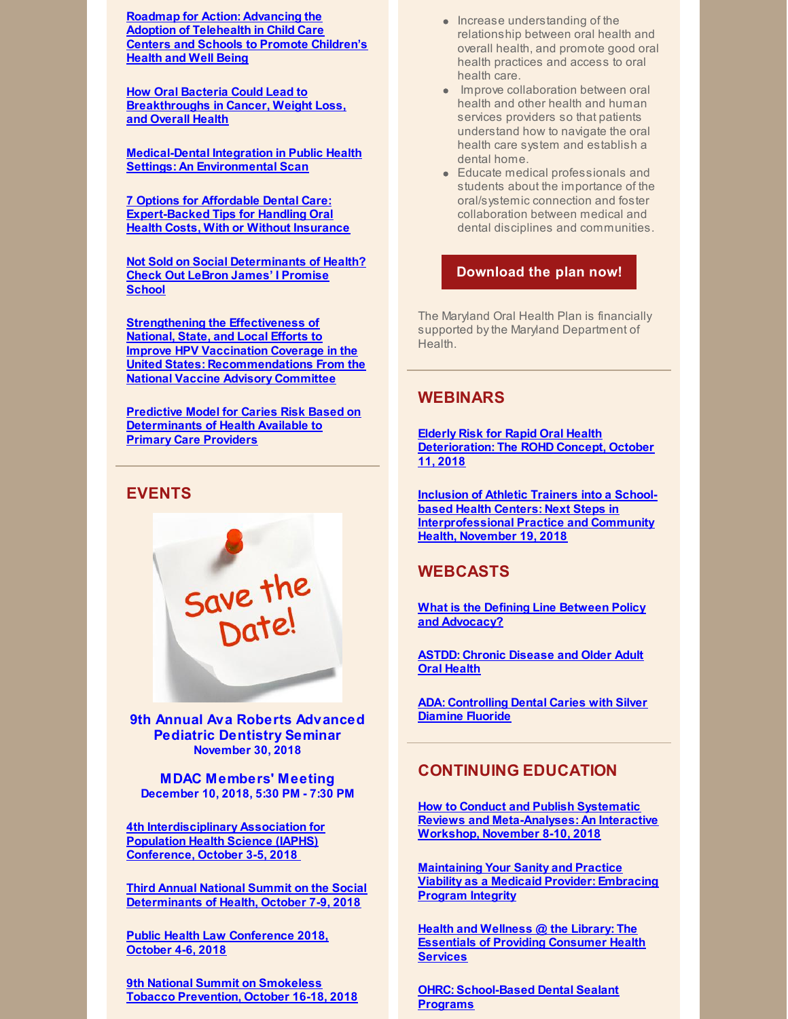**Roadmap for Action: [Advancing](http://www.childrenspartnership.org/research-list/roadmap-for-action-advancing-the-adoption-of-telehealth-in-child-care-centers-and-schools-to-promote-childrens-health-and-well-being/) the Adoption of Telehealth in Child Care Centers and Schools to Promote Children's Health and Well Being**

**How Oral Bacteria Could Lead to [Breakthroughs](https://www.mensjournal.com/health-fitness/breakthroughs-in-cancer-weight-loss-and-health-tied-to-oral-bacteria/) in Cancer, Weight Loss, and Overall Health**

**[Medical-Dental](http://files.constantcontact.com/f29af31a201/0ebb63ae-68d5-42a0-ba5f-b39117570821.pdf) Integration in Public Health Settings: An Environmental Scan**

**7 Options for Affordable Dental Care: [Expert-Backed](https://money.usnews.com/money/personal-finance/family-finance/articles/2018-07-26/7-options-for-affordable-dental-care) Tips for Handling Oral Health Costs, With or Without Insurance**

**Not Sold on Social [Determinants](https://medcitynews.com/2018/08/not-sold-on-social-determinants-of-health-check-out-lebron-james-i-promise-school/) of Health? Check Out LeBron James' I Promise School**

**Strengthening the Effectiveness of National, State, and Local Efforts to Improve HPV Vaccination Coverage in the United States: [Recommendations](http://journals.sagepub.com/doi/full/10.1177/0033354918793629) From the National Vaccine Advisory Committee**

**Predictive Model for Caries Risk Based on [Determinants](http://www.aapd.org/assets/1/7/DentaQuest-RE-4dig.pdf) of Health Available to Primary Care Providers**

# **EVENTS**



**9th Annual Ava Roberts Advanced Pediatric Dentistry Seminar November 30, 2018**

**MDAC Members' Meeting December 10, 2018, 5:30 PM - 7:30 PM**

**4th [Interdisciplinary](https://iaphs.org/conference/) Association for Population Health Science (IAPHS) Conference, October 3-5, 2018**

**Third Annual National Summit on the Social [Determinants](http://www.rootcausecoalition.org/nationalsummit/) of Health, October 7-9, 2018**

**Public Health Law [Conference](https://www.networkforphl.org/2018_conference/phlc18/?blm_aid=21725) 2018, October 4-6, 2018**

**9th National Summit on Smokeless Tobacco [Prevention,](https://smokelesssummit.org/) October 16-18, 2018**

- Increase understanding of the relationship between oral health and overall health, and promote good oral health practices and access to oral health care.
- Improve collaboration between oral health and other health and human services providers so that patients understand how to navigate the oral health care system and establish a dental home.
- Educate medical professionals and students about the importance of the oral/systemic connection and foster collaboration between medical and dental disciplines and communities.

#### **[Download](http://www.mdac.us/2018_01_14/MD_OHP_2018_0102.pdf) the plan now!**

The Maryland Oral Health Plan is financially supported bythe Maryland Department of Health.

#### **WEBINARS**

**Elderly Risk for Rapid Oral Health [Deterioration:](https://register.gotowebinar.com/register/544691856569105154) The ROHD Concept, October 11, 2018**

**Inclusion of Athletic Trainers into a Schoolbased Health Centers: Next Steps in [Interprofessional](https://register.gotowebinar.com/register/151094181481854211) Practice and Community Health, November 19, 2018**

## **WEBCASTS**

**What is the Defining Line Between Policy and [Advocacy?](https://astdd.adobeconnect.com/_a933923135/p80h2cqugap1/?proto=true)**

**ASTDD: Chronic [Disease](https://astdd.adobeconnect.com/_a933923135/pqkumkkq99o5/?proto=true) and Older Adult Oral Health**

**ADA: [Controlling](https://www.youtube.com/watch?v=qlICkK-61ng&feature=youtu.be) Dental Caries with Silver Diamine Fluoride**

#### **CONTINUING EDUCATION**

**How to Conduct and Publish Systematic Reviews and [Meta-Analyses:](https://ebd.ada.org/en/education/courses/systematic-reviews?utm_source=pastEBD&utm_content=SRworkshop&utm_medium=email) An Interactive Workshop, November 8-10, 2018**

**[Maintaining](http://ebusiness.ada.org/education/viewcourse.aspx?id=85) Your Sanity and Practice Viability as a Medicaid Provider: Embracing Program Integrity**

**Health and Wellness @ the Library: The Essentials of Providing [Consumer](https://nnlm.gov/classes/healthwellness) Health Services**

**OHRC: [School-Based](https://www.mchoralhealth.org/Dental-Sealant/) Dental Sealant Programs**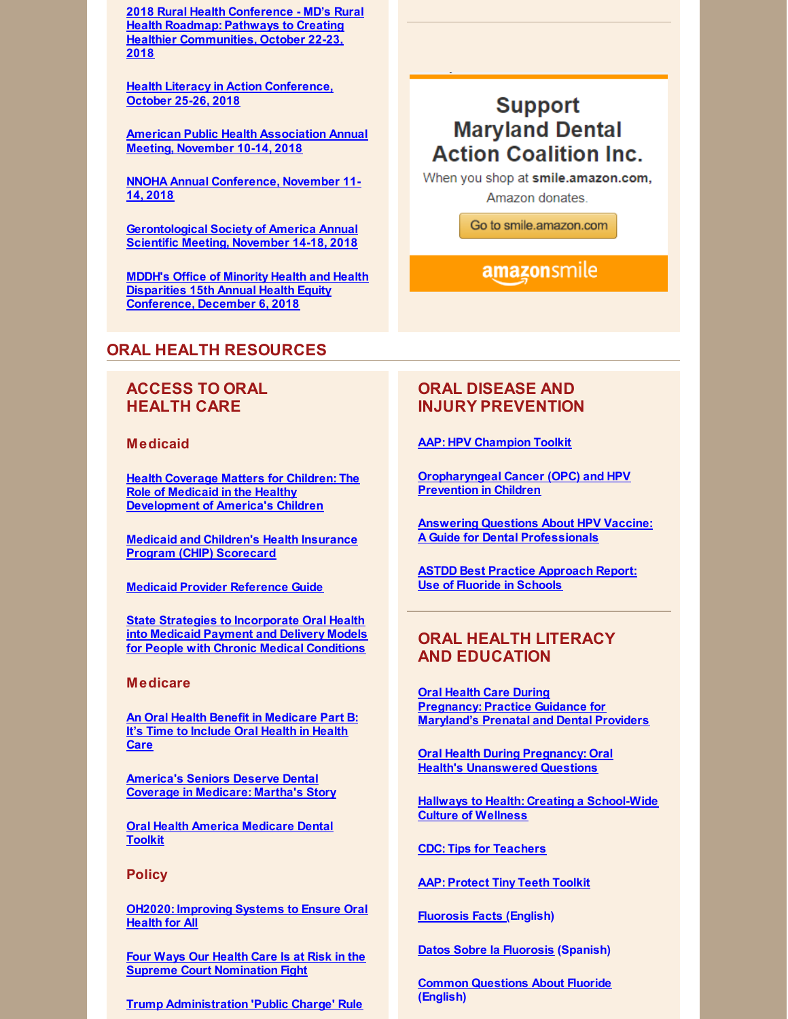**2018 Rural Health Conference - MD's Rural Health Roadmap: Pathways to Creating Healthier [Communities,](https://events.r20.constantcontact.com/register/eventReg?oeidk=a07efc1lwdma3550399&oseq=&c=&ch=) October 22-23, 2018**

**Health Literacy in Action [Conference,](http://hlactionconf.com/) October 25-26, 2018**

**American Public Health [Association](https://www.apha.org/events-and-meetings/apha-calendar/2018/apha-annual-meeting-and-expo) Annual Meeting, November 10-14, 2018**

**NNOHA Annual [Conference,](http://www.cvent.com/events/2018-nnoha-annual-conference/event-summary-afb52677ee634eeda8443182f1aca9d4.aspx) November 11- 14, 2018**

**[Gerontological](https://www.geron.org/meetings-events/gsa-2018-annual-scientific-meeting) Society of America Annual Scientific Meeting, November 14-18, 2018**

**MDDH's Office of Minority Health and Health Disparities 15th Annual Health Equity [Conference,](https://health.maryland.gov/mhhd/Pages/home.aspx) December 6, 2018**

#### **ORAL HEALTH RESOURCES**

# **ACCESS TO ORAL HEALTH CARE**

**Medicaid**

**Health Coverage Matters for Children: The Role of Medicaid in the Healthy [Development](https://familiesusa.org/sites/default/files/product_documents/MCD_Medicaid-and-Kids_Issue-Brief.pdf) of America's Children**

**Medicaid and Children's Health Insurance Program (CHIP) [Scorecard](https://www.medicaid.gov/state-overviews/scorecard/index.html)**

**Medicaid Provider [Reference](https://www.ada.org/en/public-programs/action-for-dental-health/strengthening-the-dental-safety-net/medicaid-provider-reference-guide) Guide**

**State Strategies to [Incorporate](https://nashp.org/wp-content/uploads/2018/07/Dentaquest-Report-Final.pdf) Oral Health into Medicaid Payment and Delivery Models for People with Chronic Medical Conditions**

#### **Medicare**

**An Oral Health Benefit in [Medicare](https://familiesusa.org/sites/default/files/product_documents/Medicare_Dental_White_Paper.pdf) Part B: It's Time to Include Oral Health in Health Care**

**[America's](https://familiesusa.org/product/america?s-seniors-deserve-dental-coverage-medicare-martha?s-story) Seniors Deserve Dental Coverage in Medicare: Martha's Story**

**Oral Health America [Medicare](https://oralhealthamerica.org/participate/take-action/medicaretoolkit/) Dental Toolkit**

#### **Policy**

**OH2020: [Improving](http://files.constantcontact.com/f29af31a201/b628f6ff-e5e8-4aeb-9520-7b92e915a3d9.pdf) Systems to Ensure Oral Health for All**

**Four Ways Our Health Care Is at Risk in the Supreme Court [Nomination](https://familiesusa.org/product/four-ways-our-health-care-risk-supreme-court-nomination-fight) Fight**

**Trump Administration 'Public Charge' Rule**

# **Support Maryland Dental Action Coalition Inc.**

When you shop at smile.amazon.com, Amazon donates.

Go to smile.amazon.com

# amazonsmile

# **ORAL DISEASE AND INJURY PREVENTION**

**AAP: HPV [Champion](https://www.aap.org/en-us/advocacy-and-policy/aap-health-initiatives/immunizations/HPV-Champion-Toolkit/Pages/HPV-Champion-Toolkit.aspx?utm_source=MagMail&utm_medium=email&utm_term=dteigiser@mdac.us&utm_content=Campaign for Dental Health (August 2018)&utm_campaign=Life is Better With Teeth - August 2018) Toolkit**

**[Oropharyngeal](https://www.aap.org/en-us/Documents/AAP_OPC_HPV_5KeyPoints_final.pdf?utm_source=MagMail&utm_medium=email&utm_term=dteigiser@mdac.us&utm_content=Campaign for Dental Health (August 2018)&utm_campaign=Life is Better With Teeth - August 2018) Cancer (OPC) and HPV Prevention in Children**

**Answering Questions About HPV Vaccine: A Guide for Dental [Professionals](https://www.aap.org/en-us/Documents/AAP_OPCHPV_WhatDentalProsNeedToKnow_final.pdf?utm_source=MagMail&utm_medium=email&utm_term=dteigiser@mdac.us&utm_content=Campaign for Dental Health (August 2018)&utm_campaign=Life is Better With Teeth - August 2018)**

**ASTDD Best Practice [Approach](https://www.astdd.org/use-of-fluoride-in-schools/) Report: Use of Fluoride in Schools**

# **ORAL HEALTH LITERACY AND EDUCATION**

**Oral Health Care During [Pregnancy:](https://phpa.health.maryland.gov/oralhealth/Pages/Oral_Health_and_Pregnancy.aspx) Practice Guidance for Maryland's Prenatal and Dental Providers**

**Oral Health During Pregnancy: Oral Health's [Unanswered](https://s3.amazonaws.com/cdhp/UQ+Brief+series/CDHP_IB_Final+Version.pdf) Questions**

**Hallways to Health: Creating a [School-Wide](https://tools.sbh4all.org/t/hallways-to-health/) Culture of Wellness**

**CDC: Tips for [Teachers](https://www.cdc.gov/healthyschools/npao/pdf/tips-for-teachers.pdf)**

**AAP: [Protect](https://www.aap.org/en-us/about-the-aap/aap-press-room/campaigns/tiny-teeth/Pages/default.aspx?utm_source=MagMail&utm_medium=email&utm_term=hrussinof@aap.org&utm_content=SOOH Newsletter August 2018&utm_campaign=AAP Section on Oral Health Newsletter - August 2018) Tiny Teeth Toolkit**

**[Fluorosis](https://ilikemyteeth.org/wp-content/uploads/2014/10/FluorosisFactsForFamilies.pdf) Facts (English)**

**Datos Sobre la [Fluorosis](https://ilikemyteeth.org/wp-content/uploads/2014/12/FluorosisFactsForFamilies-Spanish.pdf) (Spanish)**

**Common [Questions](https://ilikemyteeth.org/wp-content/uploads/2018/06/CommonQuestionsAboutFluoride.pdf) About Fluoride (English)**